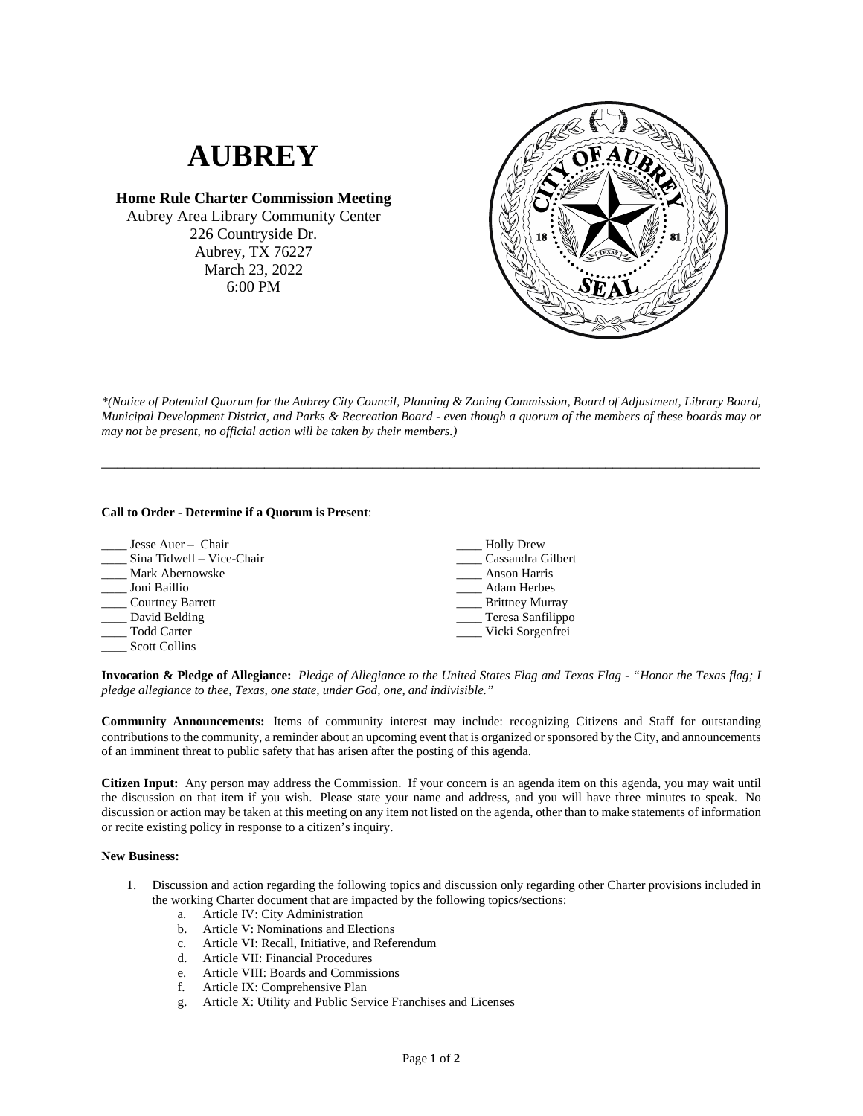## **AUBREY**

**Home Rule Charter Commission Meeting** Aubrey Area Library Community Center 226 Countryside Dr. Aubrey, TX 76227 March 23, 2022 6:00 PM



*\*(Notice of Potential Quorum for the Aubrey City Council, Planning & Zoning Commission, Board of Adjustment, Library Board, Municipal Development District, and Parks & Recreation Board - even though a quorum of the members of these boards may or may not be present, no official action will be taken by their members.)*

\_\_\_\_\_\_\_\_\_\_\_\_\_\_\_\_\_\_\_\_\_\_\_\_\_\_\_\_\_\_\_\_\_\_\_\_\_\_\_\_\_\_\_\_\_\_\_\_\_\_\_\_\_\_\_\_\_\_\_\_\_\_\_\_\_\_\_\_\_\_\_\_\_\_\_\_\_\_\_\_\_\_\_\_\_

## **Call to Order - Determine if a Quorum is Present**:

| Jesse Auer - Chair        | <b>Holly Drew</b>      |
|---------------------------|------------------------|
| Sina Tidwell - Vice-Chair | Cassandra Gilbert      |
| Mark Abernowske           | Anson Harris           |
| Joni Baillio              | <b>Adam Herbes</b>     |
| Courtney Barrett          | <b>Brittney Murray</b> |
| David Belding             | ____ Teresa Sanfilippo |
| Todd Carter               | Vicki Sorgenfrei       |
| <b>Scott Collins</b>      |                        |

**Invocation & Pledge of Allegiance:** *Pledge of Allegiance to the United States Flag and Texas Flag - "Honor the Texas flag; I pledge allegiance to thee, Texas, one state, under God, one, and indivisible."*

**Community Announcements:** Items of community interest may include: recognizing Citizens and Staff for outstanding contributions to the community, a reminder about an upcoming event that is organized or sponsored by the City, and announcements of an imminent threat to public safety that has arisen after the posting of this agenda.

**Citizen Input:** Any person may address the Commission. If your concern is an agenda item on this agenda, you may wait until the discussion on that item if you wish. Please state your name and address, and you will have three minutes to speak. No discussion or action may be taken at this meeting on any item not listed on the agenda, other than to make statements of information or recite existing policy in response to a citizen's inquiry.

## **New Business:**

- 1. Discussion and action regarding the following topics and discussion only regarding other Charter provisions included in the working Charter document that are impacted by the following topics/sections:
	- a. Article IV: City Administration
	- b. Article V: Nominations and Elections
	- c. Article VI: Recall, Initiative, and Referendum
	- d. Article VII: Financial Procedures
	- e. Article VIII: Boards and Commissions
	- f. Article IX: Comprehensive Plan
	- g. Article X: Utility and Public Service Franchises and Licenses